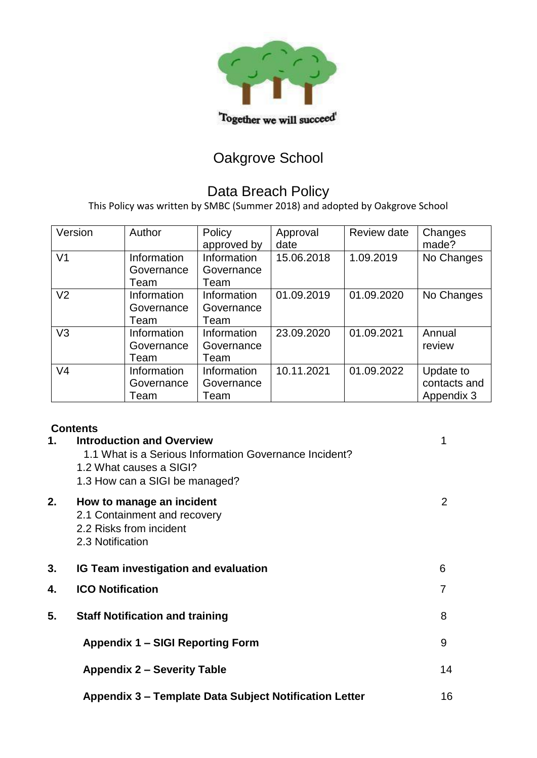

# Oakgrove School

### Data Breach Policy

This Policy was written by SMBC (Summer 2018) and adopted by Oakgrove School

| Version        | Author                            | Policy<br>approved by             | Approval<br>date | Review date | Changes<br>made?                        |
|----------------|-----------------------------------|-----------------------------------|------------------|-------------|-----------------------------------------|
| V <sub>1</sub> | Information<br>Governance<br>Team | Information<br>Governance<br>Team | 15.06.2018       | 1.09.2019   | No Changes                              |
| V <sub>2</sub> | Information<br>Governance<br>Team | Information<br>Governance<br>Team | 01.09.2019       | 01.09.2020  | No Changes                              |
| V <sub>3</sub> | Information<br>Governance<br>Team | Information<br>Governance<br>Team | 23.09.2020       | 01.09.2021  | Annual<br>review                        |
| V <sub>4</sub> | Information<br>Governance<br>Team | Information<br>Governance<br>Team | 10.11.2021       | 01.09.2022  | Update to<br>contacts and<br>Appendix 3 |

#### **Contents**

| 1. | <b>Introduction and Overview</b><br>1.1 What is a Serious Information Governance Incident?<br>1.2 What causes a SIGI?<br>1.3 How can a SIGI be managed? | 1  |
|----|---------------------------------------------------------------------------------------------------------------------------------------------------------|----|
| 2. | How to manage an incident<br>2.1 Containment and recovery<br>2.2 Risks from incident<br>2.3 Notification                                                | 2  |
| 3. | <b>IG Team investigation and evaluation</b>                                                                                                             | 6  |
| 4. | <b>ICO Notification</b>                                                                                                                                 | 7  |
| 5. | <b>Staff Notification and training</b>                                                                                                                  | 8  |
|    | <b>Appendix 1 - SIGI Reporting Form</b>                                                                                                                 | 9  |
|    | <b>Appendix 2 – Severity Table</b>                                                                                                                      | 14 |
|    | Appendix 3 – Template Data Subject Notification Letter                                                                                                  | 16 |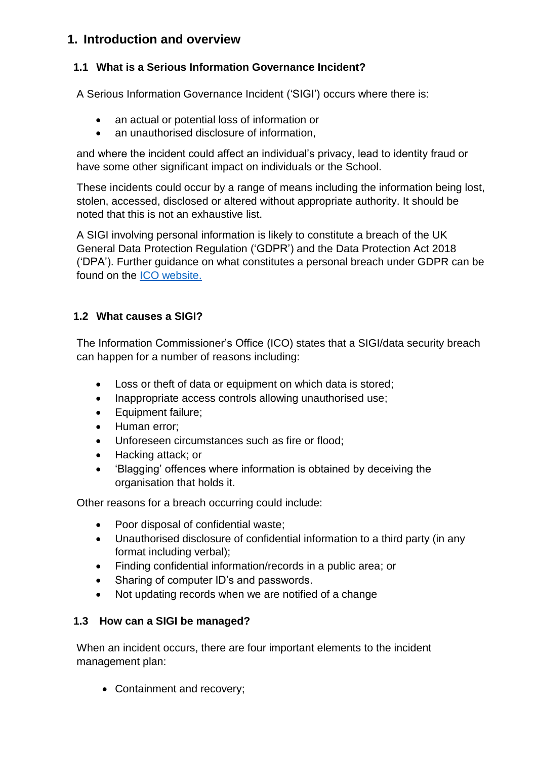### **1. Introduction and overview**

### **1.1 What is a Serious Information Governance Incident?**

A Serious Information Governance Incident ('SIGI') occurs where there is:

- an actual or potential loss of information or
- an unauthorised disclosure of information,

and where the incident could affect an individual's privacy, lead to identity fraud or have some other significant impact on individuals or the School.

These incidents could occur by a range of means including the information being lost, stolen, accessed, disclosed or altered without appropriate authority. It should be noted that this is not an exhaustive list.

A SIGI involving personal information is likely to constitute a breach of the UK General Data Protection Regulation ('GDPR') and the Data Protection Act 2018 ('DPA'). Further guidance on what constitutes a personal breach under GDPR can be found on the [ICO website.](https://ico.org.uk/for-organisations/guide-to-data-protection/guide-to-the-general-data-protection-regulation-gdpr/personal-data-breaches/)

#### **1.2 What causes a SIGI?**

The Information Commissioner's Office (ICO) states that a SIGI/data security breach can happen for a number of reasons including:

- Loss or theft of data or equipment on which data is stored;
- Inappropriate access controls allowing unauthorised use;
- Equipment failure;
- Human error;
- Unforeseen circumstances such as fire or flood;
- Hacking attack; or
- 'Blagging' offences where information is obtained by deceiving the organisation that holds it.

Other reasons for a breach occurring could include:

- Poor disposal of confidential waste;
- Unauthorised disclosure of confidential information to a third party (in any format including verbal);
- Finding confidential information/records in a public area; or
- Sharing of computer ID's and passwords.
- Not updating records when we are notified of a change

### **1.3 How can a SIGI be managed?**

When an incident occurs, there are four important elements to the incident management plan:

• Containment and recovery;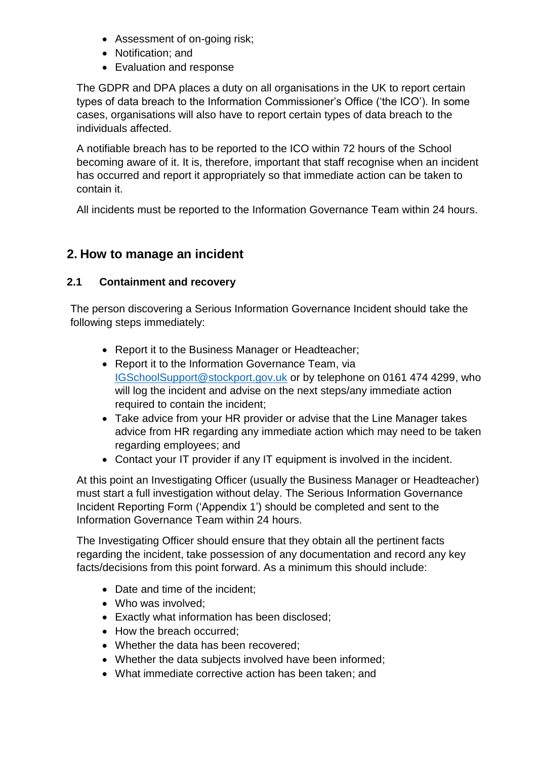- Assessment of on-going risk;
- Notification; and
- Evaluation and response

The GDPR and DPA places a duty on all organisations in the UK to report certain types of data breach to the Information Commissioner's Office ('the ICO'). In some cases, organisations will also have to report certain types of data breach to the individuals affected.

A notifiable breach has to be reported to the ICO within 72 hours of the School becoming aware of it. It is, therefore, important that staff recognise when an incident has occurred and report it appropriately so that immediate action can be taken to contain it.

All incidents must be reported to the Information Governance Team within 24 hours.

### **2. How to manage an incident**

#### **2.1 Containment and recovery**

The person discovering a Serious Information Governance Incident should take the following steps immediately:

- Report it to the Business Manager or Headteacher;
- Report it to the Information Governance Team, via [IGSchoolSupport@stockport.gov.uk](mailto:IGSchoolSupport@stockport.gov.uk) or by telephone on 0161 474 4299, who will log the incident and advise on the next steps/any immediate action required to contain the incident;
- Take advice from your HR provider or advise that the Line Manager takes advice from HR regarding any immediate action which may need to be taken regarding employees; and
- Contact your IT provider if any IT equipment is involved in the incident.

At this point an Investigating Officer (usually the Business Manager or Headteacher) must start a full investigation without delay. The Serious Information Governance Incident Reporting Form ('Appendix 1') should be completed and sent to the Information Governance Team within 24 hours.

The Investigating Officer should ensure that they obtain all the pertinent facts regarding the incident, take possession of any documentation and record any key facts/decisions from this point forward. As a minimum this should include:

- Date and time of the incident;
- Who was involved;
- Exactly what information has been disclosed;
- How the breach occurred;
- Whether the data has been recovered;
- Whether the data subjects involved have been informed;
- What immediate corrective action has been taken; and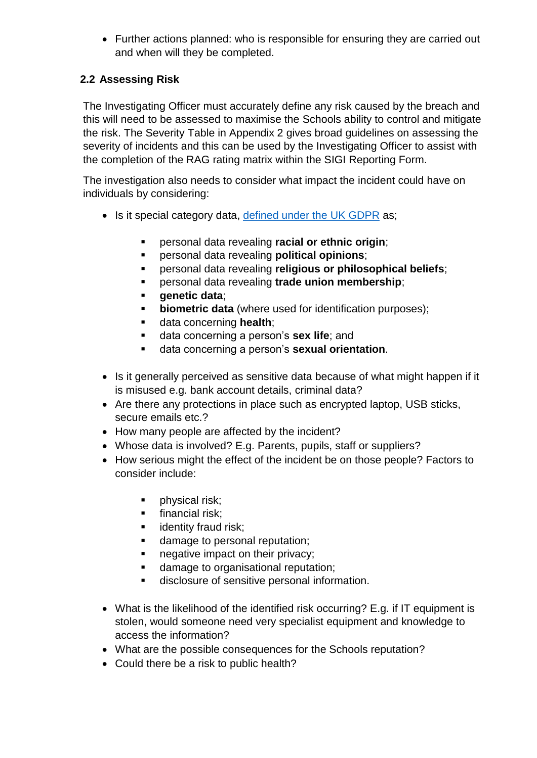• Further actions planned: who is responsible for ensuring they are carried out and when will they be completed.

#### **2.2 Assessing Risk**

The Investigating Officer must accurately define any risk caused by the breach and this will need to be assessed to maximise the Schools ability to control and mitigate the risk. The Severity Table in Appendix 2 gives broad guidelines on assessing the severity of incidents and this can be used by the Investigating Officer to assist with the completion of the RAG rating matrix within the SIGI Reporting Form.

The investigation also needs to consider what impact the incident could have on individuals by considering:

- Is it special category data, [defined under the UK GDPR](https://ico.org.uk/for-organisations/guide-to-data-protection/guide-to-the-general-data-protection-regulation-gdpr/lawful-basis-for-processing/special-category-data/#scd1) as;
	- personal data revealing **racial or ethnic origin**;
	- personal data revealing **political opinions**;
	- personal data revealing **religious or philosophical beliefs**;
	- personal data revealing **trade union membership**;
	- **genetic data**;
	- **biometric data** (where used for identification purposes);
	- data concerning **health**;
	- data concerning a person's **sex life**; and
	- data concerning a person's **sexual orientation**.
- Is it generally perceived as sensitive data because of what might happen if it is misused e.g. bank account details, criminal data?
- Are there any protections in place such as encrypted laptop, USB sticks, secure emails etc.?
- How many people are affected by the incident?
- Whose data is involved? E.g. Parents, pupils, staff or suppliers?
- How serious might the effect of the incident be on those people? Factors to consider include:
	- physical risk;
	- **·** financial risk;
	- **■** identity fraud risk:
	- damage to personal reputation:
	- negative impact on their privacy;
	- damage to organisational reputation;
	- disclosure of sensitive personal information.
- What is the likelihood of the identified risk occurring? E.g. if IT equipment is stolen, would someone need very specialist equipment and knowledge to access the information?
- What are the possible consequences for the Schools reputation?
- Could there be a risk to public health?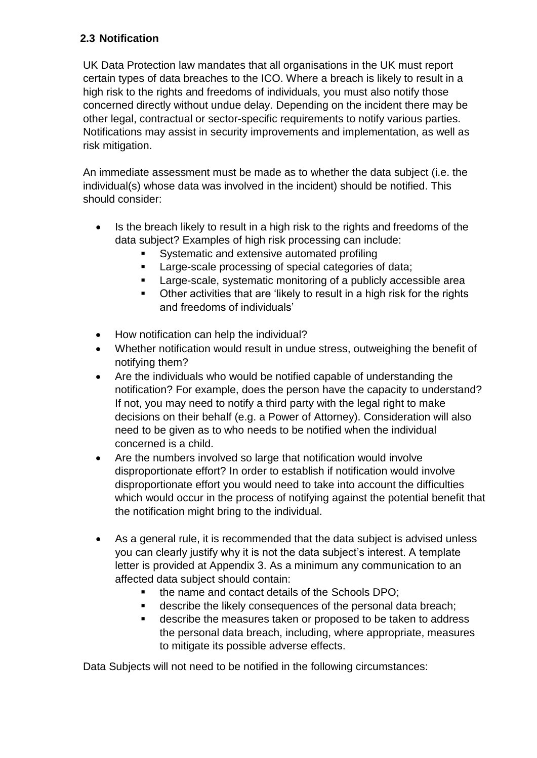### **2.3 Notification**

UK Data Protection law mandates that all organisations in the UK must report certain types of data breaches to the ICO. Where a breach is likely to result in a high risk to the rights and freedoms of individuals, you must also notify those concerned directly without undue delay. Depending on the incident there may be other legal, contractual or sector-specific requirements to notify various parties. Notifications may assist in security improvements and implementation, as well as risk mitigation.

An immediate assessment must be made as to whether the data subject (i.e. the individual(s) whose data was involved in the incident) should be notified. This should consider:

- Is the breach likely to result in a high risk to the rights and freedoms of the data subject? Examples of high risk processing can include:
	- Systematic and extensive automated profiling
	- Large-scale processing of special categories of data;
	- Large-scale, systematic monitoring of a publicly accessible area
	- Other activities that are 'likely to result in a high risk for the rights and freedoms of individuals'
- How notification can help the individual?
- Whether notification would result in undue stress, outweighing the benefit of notifying them?
- Are the individuals who would be notified capable of understanding the notification? For example, does the person have the capacity to understand? If not, you may need to notify a third party with the legal right to make decisions on their behalf (e.g. a Power of Attorney). Consideration will also need to be given as to who needs to be notified when the individual concerned is a child.
- Are the numbers involved so large that notification would involve disproportionate effort? In order to establish if notification would involve disproportionate effort you would need to take into account the difficulties which would occur in the process of notifying against the potential benefit that the notification might bring to the individual.
- As a general rule, it is recommended that the data subject is advised unless you can clearly justify why it is not the data subject's interest. A template letter is provided at Appendix 3. As a minimum any communication to an affected data subject should contain:
	- the name and contact details of the Schools DPO;
	- describe the likely consequences of the personal data breach;
	- describe the measures taken or proposed to be taken to address the personal data breach, including, where appropriate, measures to mitigate its possible adverse effects.

Data Subjects will not need to be notified in the following circumstances: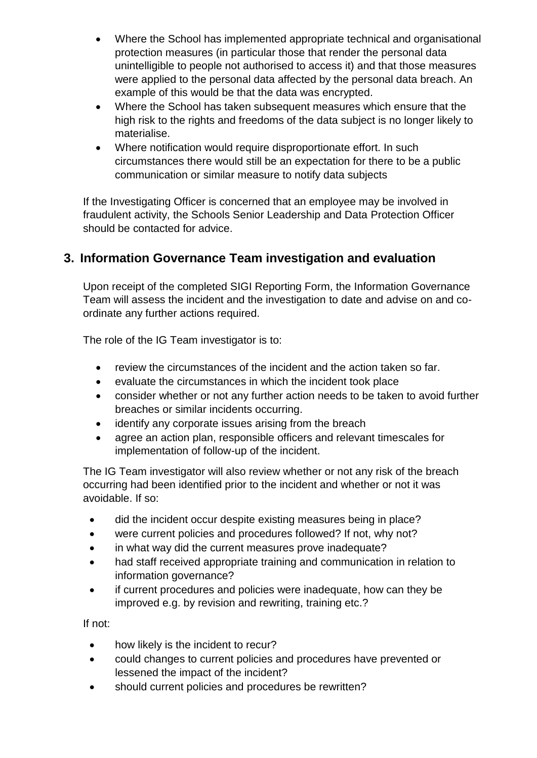- Where the School has implemented appropriate technical and organisational protection measures (in particular those that render the personal data unintelligible to people not authorised to access it) and that those measures were applied to the personal data affected by the personal data breach. An example of this would be that the data was encrypted.
- Where the School has taken subsequent measures which ensure that the high risk to the rights and freedoms of the data subject is no longer likely to materialise.
- Where notification would require disproportionate effort. In such circumstances there would still be an expectation for there to be a public communication or similar measure to notify data subjects

If the Investigating Officer is concerned that an employee may be involved in fraudulent activity, the Schools Senior Leadership and Data Protection Officer should be contacted for advice.

### **3. Information Governance Team investigation and evaluation**

Upon receipt of the completed SIGI Reporting Form, the Information Governance Team will assess the incident and the investigation to date and advise on and coordinate any further actions required.

The role of the IG Team investigator is to:

- review the circumstances of the incident and the action taken so far.
- evaluate the circumstances in which the incident took place
- consider whether or not any further action needs to be taken to avoid further breaches or similar incidents occurring.
- identify any corporate issues arising from the breach
- agree an action plan, responsible officers and relevant timescales for implementation of follow-up of the incident.

The IG Team investigator will also review whether or not any risk of the breach occurring had been identified prior to the incident and whether or not it was avoidable. If so:

- did the incident occur despite existing measures being in place?
- were current policies and procedures followed? If not, why not?
- in what way did the current measures prove inadequate?
- had staff received appropriate training and communication in relation to information governance?
- if current procedures and policies were inadequate, how can they be improved e.g. by revision and rewriting, training etc.?

If not:

- how likely is the incident to recur?
- could changes to current policies and procedures have prevented or lessened the impact of the incident?
- should current policies and procedures be rewritten?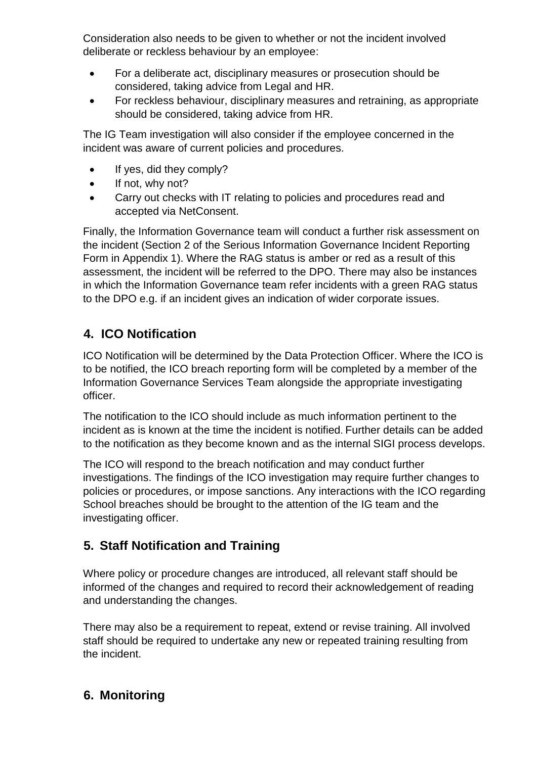Consideration also needs to be given to whether or not the incident involved deliberate or reckless behaviour by an employee:

- For a deliberate act, disciplinary measures or prosecution should be considered, taking advice from Legal and HR.
- For reckless behaviour, disciplinary measures and retraining, as appropriate should be considered, taking advice from HR.

The IG Team investigation will also consider if the employee concerned in the incident was aware of current policies and procedures.

- If yes, did they comply?
- If not, why not?
- Carry out checks with IT relating to policies and procedures read and accepted via NetConsent.

Finally, the Information Governance team will conduct a further risk assessment on the incident (Section 2 of the Serious Information Governance Incident Reporting Form in Appendix 1). Where the RAG status is amber or red as a result of this assessment, the incident will be referred to the DPO. There may also be instances in which the Information Governance team refer incidents with a green RAG status to the DPO e.g. if an incident gives an indication of wider corporate issues.

## **4. ICO Notification**

ICO Notification will be determined by the Data Protection Officer. Where the ICO is to be notified, the ICO breach reporting form will be completed by a member of the Information Governance Services Team alongside the appropriate investigating officer.

The notification to the ICO should include as much information pertinent to the incident as is known at the time the incident is notified. Further details can be added to the notification as they become known and as the internal SIGI process develops.

The ICO will respond to the breach notification and may conduct further investigations. The findings of the ICO investigation may require further changes to policies or procedures, or impose sanctions. Any interactions with the ICO regarding School breaches should be brought to the attention of the IG team and the investigating officer.

## **5. Staff Notification and Training**

Where policy or procedure changes are introduced, all relevant staff should be informed of the changes and required to record their acknowledgement of reading and understanding the changes.

There may also be a requirement to repeat, extend or revise training. All involved staff should be required to undertake any new or repeated training resulting from the incident.

## **6. Monitoring**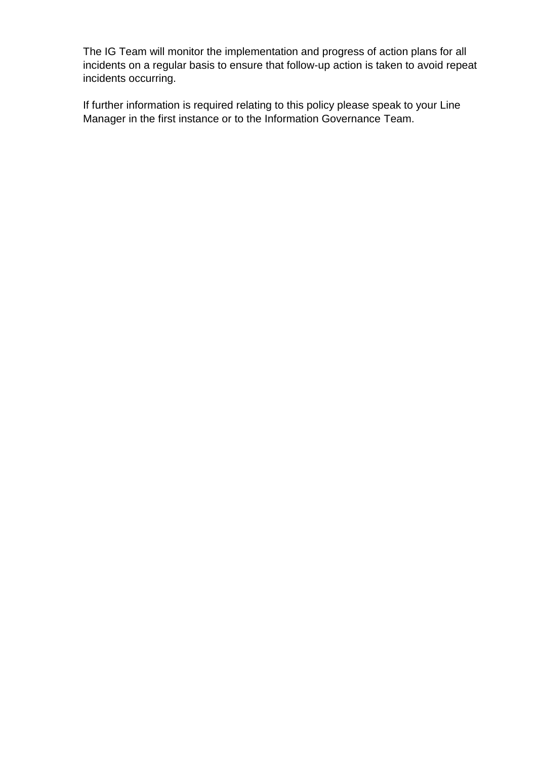The IG Team will monitor the implementation and progress of action plans for all incidents on a regular basis to ensure that follow-up action is taken to avoid repeat incidents occurring.

If further information is required relating to this policy please speak to your Line Manager in the first instance or to the Information Governance Team.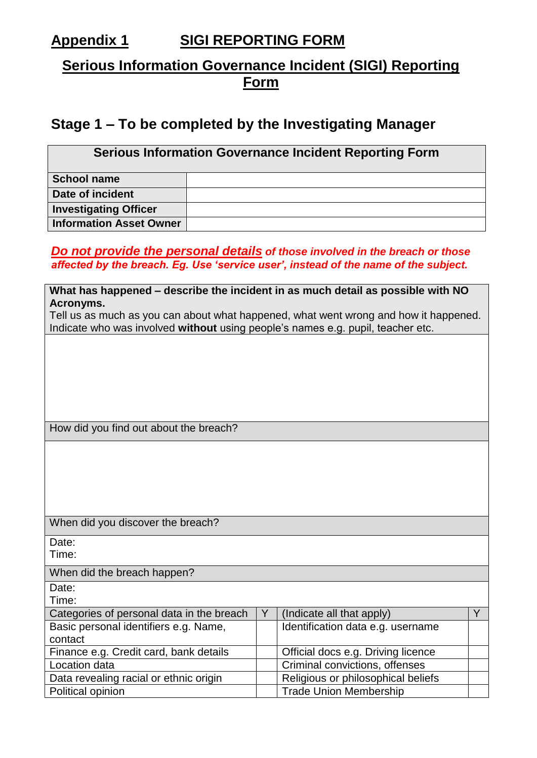## **Appendix 1 SIGI REPORTING FORM**

## **Serious Information Governance Incident (SIGI) Reporting Form**

## **Stage 1 – To be completed by the Investigating Manager**

| <b>Serious Information Governance Incident Reporting Form</b> |  |  |  |
|---------------------------------------------------------------|--|--|--|
| <b>School name</b>                                            |  |  |  |
| Date of incident                                              |  |  |  |
| <b>Investigating Officer</b>                                  |  |  |  |
| <b>Information Asset Owner</b>                                |  |  |  |

### *Do not provide the personal details of those involved in the breach or those affected by the breach. Eg. Use 'service user', instead of the name of the subject.*

| What has happened – describe the incident in as much detail as possible with NO      |   |                                    |    |
|--------------------------------------------------------------------------------------|---|------------------------------------|----|
| Acronyms.                                                                            |   |                                    |    |
| Tell us as much as you can about what happened, what went wrong and how it happened. |   |                                    |    |
| Indicate who was involved without using people's names e.g. pupil, teacher etc.      |   |                                    |    |
|                                                                                      |   |                                    |    |
|                                                                                      |   |                                    |    |
|                                                                                      |   |                                    |    |
|                                                                                      |   |                                    |    |
|                                                                                      |   |                                    |    |
|                                                                                      |   |                                    |    |
| How did you find out about the breach?                                               |   |                                    |    |
|                                                                                      |   |                                    |    |
|                                                                                      |   |                                    |    |
|                                                                                      |   |                                    |    |
|                                                                                      |   |                                    |    |
|                                                                                      |   |                                    |    |
| When did you discover the breach?                                                    |   |                                    |    |
|                                                                                      |   |                                    |    |
| Date:                                                                                |   |                                    |    |
| Time:                                                                                |   |                                    |    |
| When did the breach happen?                                                          |   |                                    |    |
| Date:                                                                                |   |                                    |    |
| Time:                                                                                |   |                                    |    |
| Categories of personal data in the breach                                            | Y | (Indicate all that apply)          | Y. |
| Basic personal identifiers e.g. Name,                                                |   | Identification data e.g. username  |    |
| contact                                                                              |   |                                    |    |
| Finance e.g. Credit card, bank details                                               |   | Official docs e.g. Driving licence |    |
| Location data                                                                        |   | Criminal convictions, offenses     |    |
| Data revealing racial or ethnic origin                                               |   | Religious or philosophical beliefs |    |
| Political opinion                                                                    |   | <b>Trade Union Membership</b>      |    |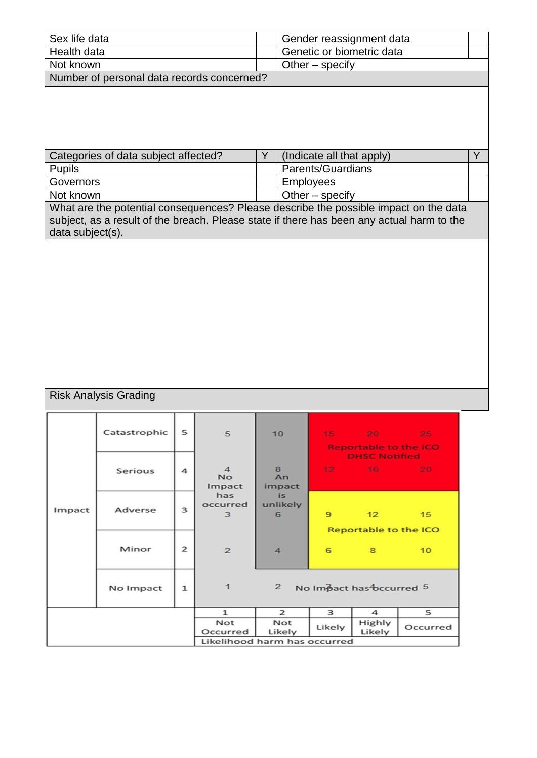| Sex life data                              | Gender reassignment data  |
|--------------------------------------------|---------------------------|
| Health data                                | Genetic or biometric data |
| l Not known                                | Other – specify           |
| Number of personal data records concerned? |                           |

| Categories of data subject affected? | (Indicate all that apply) |  |
|--------------------------------------|---------------------------|--|
| Pupils                               | <b>Parents/Guardians</b>  |  |
| Governors                            | Employees                 |  |
| Not known                            | Other $-$ specify         |  |

What are the potential consequences? Please describe the possible impact on the data subject, as a result of the breach. Please state if there has been any actual harm to the data subject(s).

### Risk Analysis Grading

|        | Catastrophic | 5               | 5                                     | 10                   |                  | 15 20 25<br><b>Reportable to the ICO</b>         |                 |
|--------|--------------|-----------------|---------------------------------------|----------------------|------------------|--------------------------------------------------|-----------------|
|        | Serious      | 4               | $\overline{4}$<br><b>No</b><br>Impact | 8<br>An<br>impact    |                  | <b>DHSC Notified</b><br>$12 \t 16 \t 20$         |                 |
| Impact | Adverse      | 3               | has<br>occurred<br>3                  | is.<br>unlikely<br>6 | 9                | $\sim$ 12 $\sim$<br><b>Reportable to the ICO</b> | 15              |
|        | Minor        | $\overline{2}$  | $\overline{2}$                        | $\overline{4}$       | 6                | $8^{\circ}$                                      | 10 <sup>°</sup> |
|        | No Impact    | $\mathbf{1}$    | $\mathbf{1}$                          | $\overline{2}$       |                  | No Impact has bccurred 5                         |                 |
|        |              |                 | $\mathbf{1}$                          | $\overline{2}$       | 3                | $\overline{\mathbf{A}}$                          | 5               |
|        |              | Not<br>Occurred | Not<br>Likely                         | Likely               | Highly<br>Likely | Occurred                                         |                 |
|        |              |                 | Likelihood harm has occurred          |                      |                  |                                                  |                 |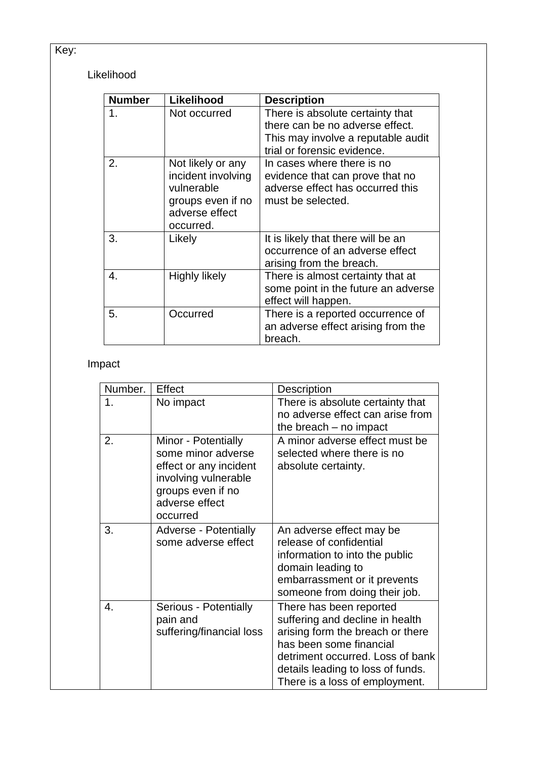## Key:

### Likelihood

| <b>Number</b> | Likelihood                                                                                                | <b>Description</b>                                                                                                                       |
|---------------|-----------------------------------------------------------------------------------------------------------|------------------------------------------------------------------------------------------------------------------------------------------|
| 1.            | Not occurred                                                                                              | There is absolute certainty that<br>there can be no adverse effect.<br>This may involve a reputable audit<br>trial or forensic evidence. |
| 2.            | Not likely or any<br>incident involving<br>vulnerable<br>groups even if no<br>adverse effect<br>occurred. | In cases where there is no<br>evidence that can prove that no<br>adverse effect has occurred this<br>must be selected.                   |
| 3.            | Likely                                                                                                    | It is likely that there will be an<br>occurrence of an adverse effect<br>arising from the breach.                                        |
| 4.            | Highly likely                                                                                             | There is almost certainty that at<br>some point in the future an adverse<br>effect will happen.                                          |
| 5.            | Occurred                                                                                                  | There is a reported occurrence of<br>an adverse effect arising from the<br>breach.                                                       |

## Impact

| Number. | Effect                                                                                                                                         | Description                                                                                                                                                                                                                          |
|---------|------------------------------------------------------------------------------------------------------------------------------------------------|--------------------------------------------------------------------------------------------------------------------------------------------------------------------------------------------------------------------------------------|
| 1.      | No impact                                                                                                                                      | There is absolute certainty that<br>no adverse effect can arise from<br>the breach $-$ no impact                                                                                                                                     |
| 2.      | Minor - Potentially<br>some minor adverse<br>effect or any incident<br>involving vulnerable<br>groups even if no<br>adverse effect<br>occurred | A minor adverse effect must be<br>selected where there is no<br>absolute certainty.                                                                                                                                                  |
| 3.      | <b>Adverse - Potentially</b><br>some adverse effect                                                                                            | An adverse effect may be<br>release of confidential<br>information to into the public<br>domain leading to<br>embarrassment or it prevents<br>someone from doing their job.                                                          |
| 4.      | Serious - Potentially<br>pain and<br>suffering/financial loss                                                                                  | There has been reported<br>suffering and decline in health<br>arising form the breach or there<br>has been some financial<br>detriment occurred. Loss of bank<br>details leading to loss of funds.<br>There is a loss of employment. |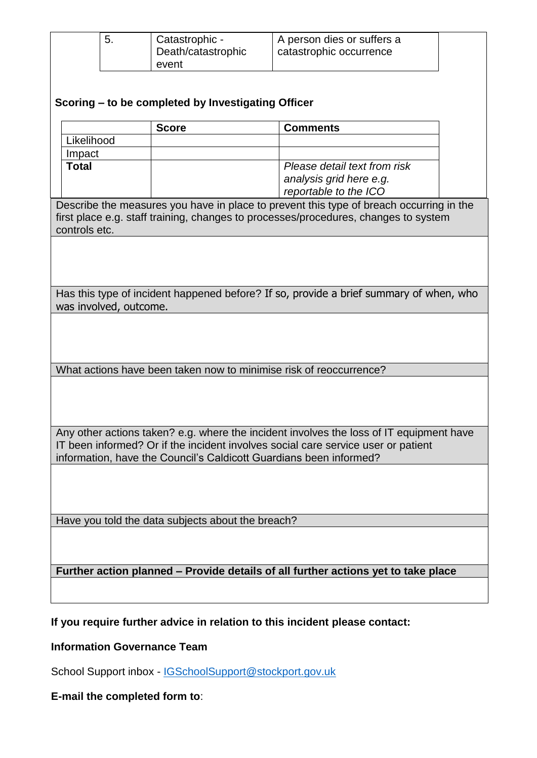| 5.                                                                 | Catastrophic -                                                                    | A person dies or suffers a                                                              |  |  |
|--------------------------------------------------------------------|-----------------------------------------------------------------------------------|-----------------------------------------------------------------------------------------|--|--|
|                                                                    | Death/catastrophic                                                                | catastrophic occurrence                                                                 |  |  |
|                                                                    | event                                                                             |                                                                                         |  |  |
|                                                                    |                                                                                   |                                                                                         |  |  |
|                                                                    |                                                                                   |                                                                                         |  |  |
|                                                                    | Scoring – to be completed by Investigating Officer                                |                                                                                         |  |  |
|                                                                    | <b>Score</b>                                                                      | <b>Comments</b>                                                                         |  |  |
| Likelihood                                                         |                                                                                   |                                                                                         |  |  |
|                                                                    |                                                                                   |                                                                                         |  |  |
| Impact                                                             |                                                                                   |                                                                                         |  |  |
| <b>Total</b>                                                       |                                                                                   | Please detail text from risk                                                            |  |  |
|                                                                    |                                                                                   | analysis grid here e.g.                                                                 |  |  |
|                                                                    |                                                                                   | reportable to the ICO                                                                   |  |  |
|                                                                    |                                                                                   | Describe the measures you have in place to prevent this type of breach occurring in the |  |  |
|                                                                    |                                                                                   | first place e.g. staff training, changes to processes/procedures, changes to system     |  |  |
| controls etc.                                                      |                                                                                   |                                                                                         |  |  |
|                                                                    |                                                                                   |                                                                                         |  |  |
|                                                                    |                                                                                   |                                                                                         |  |  |
|                                                                    |                                                                                   |                                                                                         |  |  |
|                                                                    |                                                                                   |                                                                                         |  |  |
|                                                                    |                                                                                   |                                                                                         |  |  |
|                                                                    |                                                                                   | Has this type of incident happened before? If so, provide a brief summary of when, who  |  |  |
| was involved, outcome.                                             |                                                                                   |                                                                                         |  |  |
|                                                                    |                                                                                   |                                                                                         |  |  |
|                                                                    |                                                                                   |                                                                                         |  |  |
|                                                                    |                                                                                   |                                                                                         |  |  |
|                                                                    |                                                                                   |                                                                                         |  |  |
|                                                                    | What actions have been taken now to minimise risk of reoccurrence?                |                                                                                         |  |  |
|                                                                    |                                                                                   |                                                                                         |  |  |
|                                                                    |                                                                                   |                                                                                         |  |  |
|                                                                    |                                                                                   |                                                                                         |  |  |
|                                                                    |                                                                                   |                                                                                         |  |  |
|                                                                    |                                                                                   |                                                                                         |  |  |
|                                                                    |                                                                                   | Any other actions taken? e.g. where the incident involves the loss of IT equipment have |  |  |
|                                                                    |                                                                                   | IT been informed? Or if the incident involves social care service user or patient       |  |  |
|                                                                    |                                                                                   |                                                                                         |  |  |
| information, have the Council's Caldicott Guardians been informed? |                                                                                   |                                                                                         |  |  |
|                                                                    |                                                                                   |                                                                                         |  |  |
|                                                                    |                                                                                   |                                                                                         |  |  |
|                                                                    |                                                                                   |                                                                                         |  |  |
|                                                                    |                                                                                   |                                                                                         |  |  |
|                                                                    | Have you told the data subjects about the breach?                                 |                                                                                         |  |  |
|                                                                    |                                                                                   |                                                                                         |  |  |
|                                                                    |                                                                                   |                                                                                         |  |  |
|                                                                    |                                                                                   |                                                                                         |  |  |
|                                                                    |                                                                                   |                                                                                         |  |  |
|                                                                    | Further action planned - Provide details of all further actions yet to take place |                                                                                         |  |  |
|                                                                    |                                                                                   |                                                                                         |  |  |
|                                                                    |                                                                                   |                                                                                         |  |  |

**If you require further advice in relation to this incident please contact:**

### **Information Governance Team**

School Support inbox - **[IGSchoolSupport@stockport.gov.uk](mailto:IGSchoolSupport@stockport.gov.uk)** 

### **E-mail the completed form to**: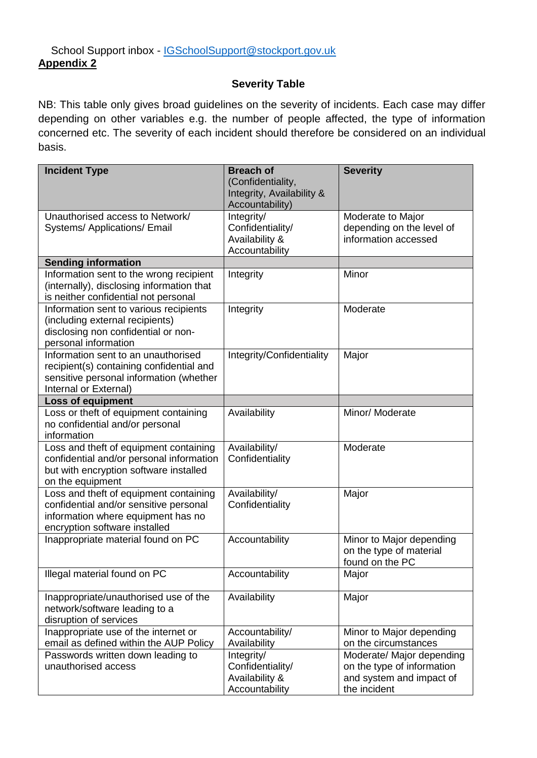#### **Severity Table**

NB: This table only gives broad guidelines on the severity of incidents. Each case may differ depending on other variables e.g. the number of people affected, the type of information concerned etc. The severity of each incident should therefore be considered on an individual basis.

| <b>Incident Type</b>                                                                                                                                    | <b>Breach of</b><br>(Confidentiality,<br>Integrity, Availability & | <b>Severity</b>                                                                                     |
|---------------------------------------------------------------------------------------------------------------------------------------------------------|--------------------------------------------------------------------|-----------------------------------------------------------------------------------------------------|
|                                                                                                                                                         | Accountability)                                                    |                                                                                                     |
| Unauthorised access to Network/<br><b>Systems/Applications/Email</b>                                                                                    | Integrity/<br>Confidentiality/<br>Availability &<br>Accountability | Moderate to Major<br>depending on the level of<br>information accessed                              |
| <b>Sending information</b>                                                                                                                              |                                                                    |                                                                                                     |
| Information sent to the wrong recipient<br>(internally), disclosing information that<br>is neither confidential not personal                            | Integrity                                                          | Minor                                                                                               |
| Information sent to various recipients<br>(including external recipients)<br>disclosing non confidential or non-<br>personal information                | Integrity                                                          | Moderate                                                                                            |
| Information sent to an unauthorised<br>recipient(s) containing confidential and<br>sensitive personal information (whether<br>Internal or External)     | Integrity/Confidentiality                                          | Major                                                                                               |
| <b>Loss of equipment</b>                                                                                                                                |                                                                    |                                                                                                     |
| Loss or theft of equipment containing<br>no confidential and/or personal<br>information                                                                 | Availability                                                       | Minor/ Moderate                                                                                     |
| Loss and theft of equipment containing<br>confidential and/or personal information<br>but with encryption software installed<br>on the equipment        | Availability/<br>Confidentiality                                   | Moderate                                                                                            |
| Loss and theft of equipment containing<br>confidential and/or sensitive personal<br>information where equipment has no<br>encryption software installed | Availability/<br>Confidentiality                                   | Major                                                                                               |
| Inappropriate material found on PC                                                                                                                      | Accountability                                                     | Minor to Major depending<br>on the type of material<br>found on the PC                              |
| Illegal material found on PC                                                                                                                            | Accountability                                                     | Major                                                                                               |
| Inappropriate/unauthorised use of the<br>network/software leading to a<br>disruption of services                                                        | Availability                                                       | Major                                                                                               |
| Inappropriate use of the internet or<br>email as defined within the AUP Policy                                                                          | Accountability/<br>Availability                                    | Minor to Major depending<br>on the circumstances                                                    |
| Passwords written down leading to<br>unauthorised access                                                                                                | Integrity/<br>Confidentiality/<br>Availability &<br>Accountability | Moderate/ Major depending<br>on the type of information<br>and system and impact of<br>the incident |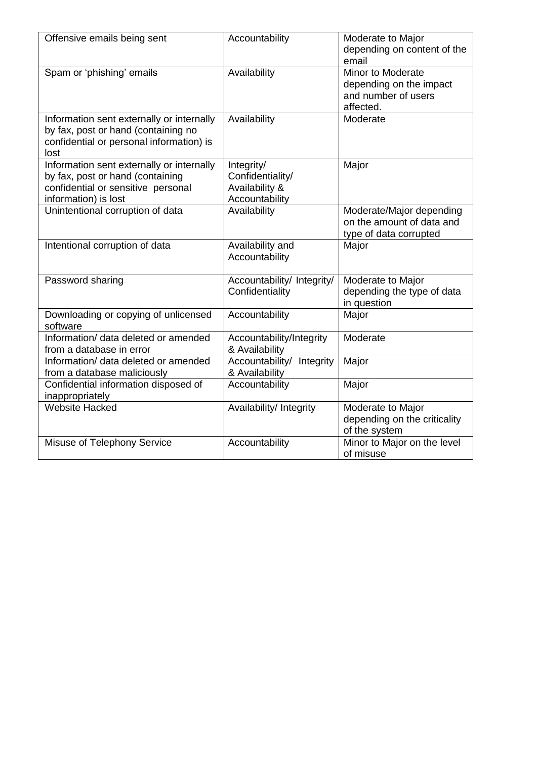| Offensive emails being sent                                                                                                                 | Accountability                                                     | Moderate to Major<br>depending on content of the<br>email                               |
|---------------------------------------------------------------------------------------------------------------------------------------------|--------------------------------------------------------------------|-----------------------------------------------------------------------------------------|
| Spam or 'phishing' emails                                                                                                                   | Availability                                                       | <b>Minor to Moderate</b><br>depending on the impact<br>and number of users<br>affected. |
| Information sent externally or internally<br>by fax, post or hand (containing no<br>confidential or personal information) is<br>lost        | Availability                                                       | Moderate                                                                                |
| Information sent externally or internally<br>by fax, post or hand (containing<br>confidential or sensitive personal<br>information) is lost | Integrity/<br>Confidentiality/<br>Availability &<br>Accountability | Major                                                                                   |
| Unintentional corruption of data                                                                                                            | Availability                                                       | Moderate/Major depending<br>on the amount of data and<br>type of data corrupted         |
| Intentional corruption of data                                                                                                              | Availability and<br>Accountability                                 | Major                                                                                   |
| Password sharing                                                                                                                            | Accountability/ Integrity/<br>Confidentiality                      | Moderate to Major<br>depending the type of data<br>in question                          |
| Downloading or copying of unlicensed<br>software                                                                                            | Accountability                                                     | Major                                                                                   |
| Information/ data deleted or amended<br>from a database in error                                                                            | Accountability/Integrity<br>& Availability                         | Moderate                                                                                |
| Information/ data deleted or amended<br>from a database maliciously                                                                         | Accountability/ Integrity<br>& Availability                        | Major                                                                                   |
| Confidential information disposed of<br>inappropriately                                                                                     | Accountability                                                     | Major                                                                                   |
| <b>Website Hacked</b>                                                                                                                       | Availability/ Integrity                                            | Moderate to Major<br>depending on the criticality<br>of the system                      |
| Misuse of Telephony Service                                                                                                                 | Accountability                                                     | Minor to Major on the level<br>of misuse                                                |